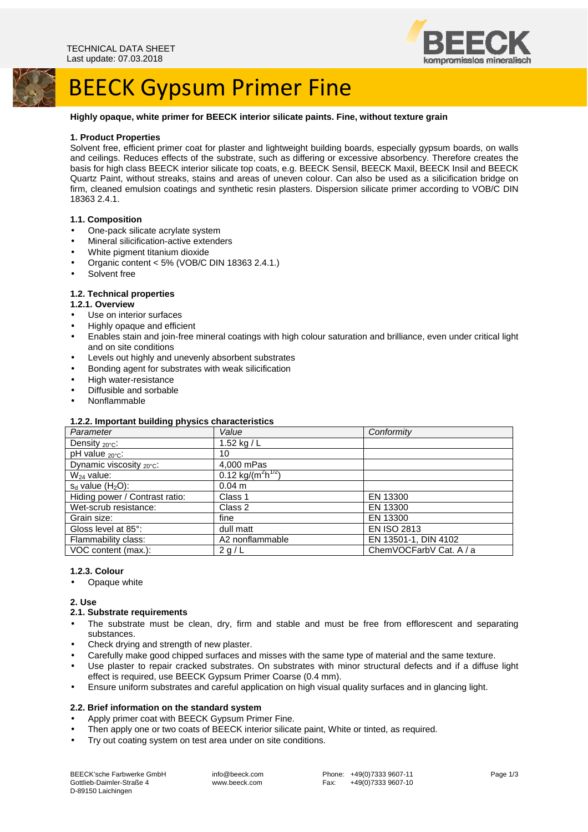

# BEECK Gypsum Primer Fine

## **Highly opaque, white primer for BEECK interior silicate paints. Fine, without texture grain**

#### **1. Product Properties**

Solvent free, efficient primer coat for plaster and lightweight building boards, especially gypsum boards, on walls and ceilings. Reduces effects of the substrate, such as differing or excessive absorbency. Therefore creates the basis for high class BEECK interior silicate top coats, e.g. BEECK Sensil, BEECK Maxil, BEECK Insil and BEECK Quartz Paint, without streaks, stains and areas of uneven colour. Can also be used as a silicification bridge on firm, cleaned emulsion coatings and synthetic resin plasters. Dispersion silicate primer according to VOB/C DIN 18363 2.4.1.

#### **1.1. Composition**

- One-pack silicate acrylate system
- Mineral silicification-active extenders
- White pigment titanium dioxide
- Organic content < 5% (VOB/C DIN 18363 2.4.1.)
- Solvent free

#### **1.2. Technical properties**

- **1.2.1. Overview**
- Use on interior surfaces
- Highly opaque and efficient
- Enables stain and join-free mineral coatings with high colour saturation and brilliance, even under critical light and on site conditions
- Levels out highly and unevenly absorbent substrates
- Bonding agent for substrates with weak silicification
- High water-resistance
- Diffusible and sorbable
- Nonflammable

#### **1.2.2. Important building physics characteristics**

| Parameter                       | Value                                      | Conformity              |
|---------------------------------|--------------------------------------------|-------------------------|
| Density $20^{\circ}$ c:         | 1.52 kg / $L$                              |                         |
| pH value <sub>20°C</sub> :      | 10                                         |                         |
| Dynamic viscosity 20°C:         | 4,000 mPas                                 |                         |
| $W_{24}$ value:                 | 0.12 kg/(m <sup>2</sup> h <sup>1/2</sup> ) |                         |
| $s_d$ value (H <sub>2</sub> O): | $0.04 \text{ m}$                           |                         |
| Hiding power / Contrast ratio:  | Class 1                                    | EN 13300                |
| Wet-scrub resistance:           | Class 2                                    | EN 13300                |
| Grain size:                     | fine                                       | EN 13300                |
| Gloss level at 85°:             | dull matt                                  | <b>EN ISO 2813</b>      |
| Flammability class:             | A2 nonflammable                            | EN 13501-1, DIN 4102    |
| VOC content (max.):             | 2 g/L                                      | ChemVOCFarbV Cat. A / a |

#### **1.2.3. Colour**

• Opaque white

## **2. Use**

#### **2.1. Substrate requirements**

- The substrate must be clean, dry, firm and stable and must be free from efflorescent and separating substances.
- Check drying and strength of new plaster.
- Carefully make good chipped surfaces and misses with the same type of material and the same texture.
- Use plaster to repair cracked substrates. On substrates with minor structural defects and if a diffuse light effect is required, use BEECK Gypsum Primer Coarse (0.4 mm).
- Ensure uniform substrates and careful application on high visual quality surfaces and in glancing light.

## **2.2. Brief information on the standard system**

- Apply primer coat with BEECK Gypsum Primer Fine.
- Then apply one or two coats of BEECK interior silicate paint, White or tinted, as required.
- Try out coating system on test area under on site conditions.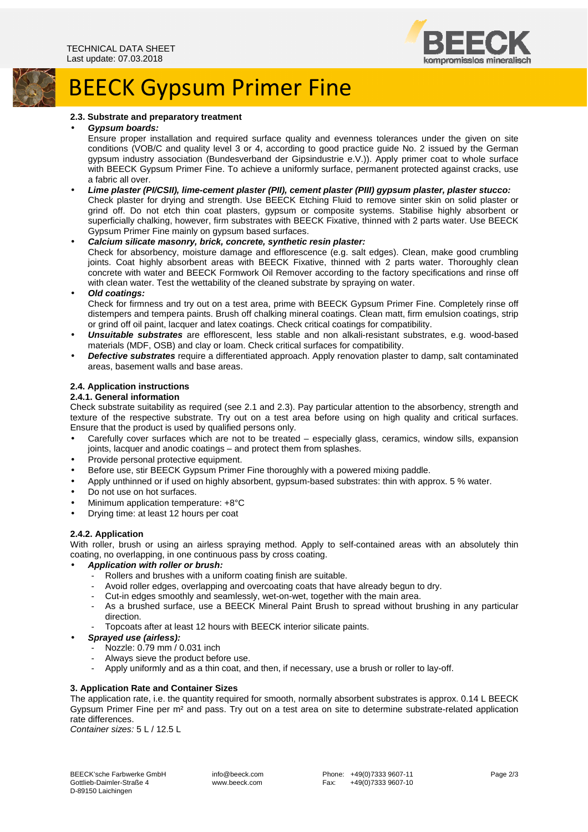

# BEECK Gypsum Primer Fine

## **2.3. Substrate and preparatory treatment**

#### • **Gypsum boards:**

Ensure proper installation and required surface quality and evenness tolerances under the given on site conditions (VOB/C and quality level 3 or 4, according to good practice guide No. 2 issued by the German gypsum industry association (Bundesverband der Gipsindustrie e.V.)). Apply primer coat to whole surface with BEECK Gypsum Primer Fine. To achieve a uniformly surface, permanent protected against cracks, use a fabric all over.

• **Lime plaster (PI/CSII), lime-cement plaster (PII), cement plaster (PIII) gypsum plaster, plaster stucco:**  Check plaster for drying and strength. Use BEECK Etching Fluid to remove sinter skin on solid plaster or grind off. Do not etch thin coat plasters, gypsum or composite systems. Stabilise highly absorbent or superficially chalking, however, firm substrates with BEECK Fixative, thinned with 2 parts water. Use BEECK Gypsum Primer Fine mainly on gypsum based surfaces.

## • **Calcium silicate masonry, brick, concrete, synthetic resin plaster:**

Check for absorbency, moisture damage and efflorescence (e.g. salt edges). Clean, make good crumbling joints. Coat highly absorbent areas with BEECK Fixative, thinned with 2 parts water. Thoroughly clean concrete with water and BEECK Formwork Oil Remover according to the factory specifications and rinse off with clean water. Test the wettability of the cleaned substrate by spraying on water.

## • **Old coatings:**

Check for firmness and try out on a test area, prime with BEECK Gypsum Primer Fine. Completely rinse off distempers and tempera paints. Brush off chalking mineral coatings. Clean matt, firm emulsion coatings, strip or grind off oil paint, lacquer and latex coatings. Check critical coatings for compatibility.

- **Unsuitable substrates** are efflorescent, less stable and non alkali-resistant substrates, e.g. wood-based materials (MDF, OSB) and clay or loam. Check critical surfaces for compatibility.
- **Defective substrates** require a differentiated approach. Apply renovation plaster to damp, salt contaminated areas, basement walls and base areas.

## **2.4. Application instructions**

## **2.4.1. General information**

Check substrate suitability as required (see 2.1 and 2.3). Pay particular attention to the absorbency, strength and texture of the respective substrate. Try out on a test area before using on high quality and critical surfaces. Ensure that the product is used by qualified persons only.

- Carefully cover surfaces which are not to be treated especially glass, ceramics, window sills, expansion joints, lacquer and anodic coatings – and protect them from splashes.
- Provide personal protective equipment.
- Before use, stir BEECK Gypsum Primer Fine thoroughly with a powered mixing paddle.
- Apply unthinned or if used on highly absorbent, gypsum-based substrates: thin with approx. 5 % water.
- Do not use on hot surfaces.
- Minimum application temperature: +8°C
- Drying time: at least 12 hours per coat

## **2.4.2. Application**

With roller, brush or using an airless spraying method. Apply to self-contained areas with an absolutely thin coating, no overlapping, in one continuous pass by cross coating.

#### • **Application with roller or brush:**

- Rollers and brushes with a uniform coating finish are suitable.
- Avoid roller edges, overlapping and overcoating coats that have already begun to dry.
- Cut-in edges smoothly and seamlessly, wet-on-wet, together with the main area.
- As a brushed surface, use a BEECK Mineral Paint Brush to spread without brushing in any particular direction.
- Topcoats after at least 12 hours with BEECK interior silicate paints.
- **Sprayed use (airless):** 
	- Nozzle: 0.79 mm / 0.031 inch
	- Always sieve the product before use.
	- Apply uniformly and as a thin coat, and then, if necessary, use a brush or roller to lay-off.

## **3. Application Rate and Container Sizes**

The application rate, i.e. the quantity required for smooth, normally absorbent substrates is approx. 0.14 L BEECK Gypsum Primer Fine per m² and pass. Try out on a test area on site to determine substrate-related application rate differences.

Container sizes: 5 L / 12.5 L